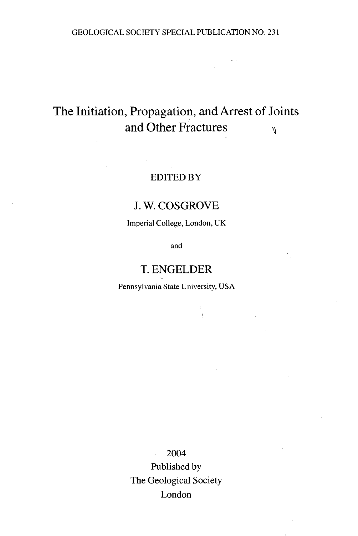# The Initiation, Propagation, and Arrest of Joints and Other Fractures  $\theta$

#### EDITED BY

#### J. W. COSGROVE

Imperial College, London, UK

and

### T. ENGELDER

Pennsylvania State University, USA

 $\hat{\xi}$ 

2004 Published by The Geological Society London